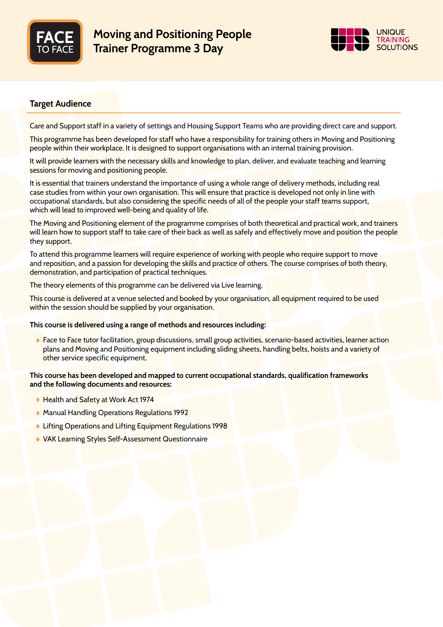



# Target Audience

Care and Support staff in a variety of settings and Housing Support Teams who are providing direct care and support.

This programme has been developed for staff who have a responsibility for training others in Moving and Positioning people within their workplace. It is designed to support organisations with an internal training provision.

It will provide learners with the necessary skills and knowledge to plan, deliver, and evaluate teaching and learning sessions for moving and positioning people.

It is essential that trainers understand the importance of using a whole range of delivery methods, including real case studies from within your own organisation. This will ensure that practice is developed not only in line with occupational standards, but also considering the specific needs of all of the people your staff teams support, which will lead to improved well-being and quality of life.

The Moving and Positioning element of the programme comprises of both theoretical and practical work, and trainers will learn how to support staff to take care of their back as well as safely and effectively move and position the people they support.

To attend this programme learners will require experience of working with people who require support to move and reposition, and a passion for developing the skills and practice of others. The course comprises of both theory, demonstration, and participation of practical techniques.

The theory elements of this programme can be delivered via Live learning.

This course is delivered at a venue selected and booked by your organisation, all equipment required to be used within the session should be supplied by your organisation.

## This course is delivered using a range of methods and resources including:

 Face to Face tutor facilitation, group discussions, small group activities, scenario-based activities, learner action plans and Moving and Positioning equipment including sliding sheets, handling belts, hoists and a variety of other service specific equipment.

## This course has been developed and mapped to current occupational standards, qualification frameworks and the following documents and resources:

- Health and Safety at Work Act 1974
- **Manual Handling Operations Regulations 1992**
- **Lifting Operations and Lifting Equipment Regulations 1998**
- VAK Learning Styles Self-Assessment Questionnaire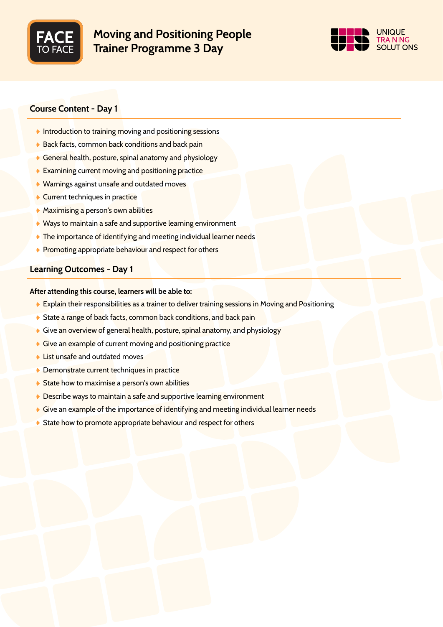

# Moving and Positioning People Trainer Programme 3 Day



# Course Content - Day 1

- **Introduction to training moving and positioning sessions**
- ♦ Back facts, common back conditions and back pain
- General health, posture, spinal anatomy and physiology
- Examining current moving and positioning practice
- ♦ Warnings against unsafe and outdated moves
- Current techniques in practice
- **Maximising a** person's own abilities
- Ways to maintain a safe and supportive learning environment
- **The importance of identifying and meeting individual learner needs**
- **Promoting appropriate behaviour and respect for others**

## Learning Outcomes - Day 1

## After attending this course, learners will be able to:

- Explain their responsibilities as a trainer to deliver training sessions in Moving and Positioning
- State a range of back facts, common back conditions, and back pain
- Give an overview of general health, posture, spinal anatomy, and physiology
- Give an example of current moving and positioning practice
- **List unsafe and outdated moves**
- **Demonstrate current techniques in practice**
- State how to maximise a person's own abilities
- **Describe ways to maintain a safe and supportive learning environment**
- Give an example of the importance of identifying and meeting individual learner needs
- State how to promote appropriate behaviour and respect for others